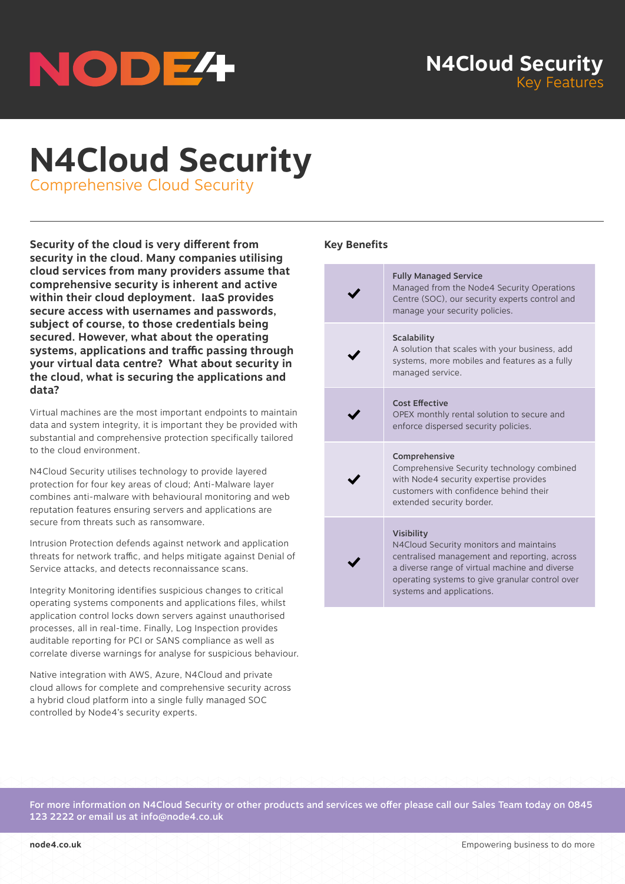

# **N4Cloud Security**

Comprehensive Cloud Security

**Security of the cloud is very different from security in the cloud. Many companies utilising cloud services from many providers assume that comprehensive security is inherent and active within their cloud deployment. IaaS provides secure access with usernames and passwords, subject of course, to those credentials being secured. However, what about the operating systems, applications and traffic passing through your virtual data centre? What about security in the cloud, what is securing the applications and data?**

Virtual machines are the most important endpoints to maintain data and system integrity, it is important they be provided with substantial and comprehensive protection specifically tailored to the cloud environment.

N4Cloud Security utilises technology to provide layered protection for four key areas of cloud; Anti-Malware layer combines anti-malware with behavioural monitoring and web reputation features ensuring servers and applications are secure from threats such as ransomware.

Intrusion Protection defends against network and application threats for network traffic, and helps mitigate against Denial of Service attacks, and detects reconnaissance scans.

Integrity Monitoring identifies suspicious changes to critical operating systems components and applications files, whilst application control locks down servers against unauthorised processes, all in real-time. Finally, Log Inspection provides auditable reporting for PCI or SANS compliance as well as correlate diverse warnings for analyse for suspicious behaviour.

Native integration with AWS, Azure, N4Cloud and private cloud allows for complete and comprehensive security across a hybrid cloud platform into a single fully managed SOC controlled by Node4's security experts.

### **Key Benefits**

| <b>Fully Managed Service</b><br>Managed from the Node4 Security Operations<br>Centre (SOC), our security experts control and<br>manage your security policies.                                                                                 |
|------------------------------------------------------------------------------------------------------------------------------------------------------------------------------------------------------------------------------------------------|
| <b>Scalability</b><br>A solution that scales with your business, add<br>systems, more mobiles and features as a fully<br>managed service.                                                                                                      |
| <b>Cost Effective</b><br>OPEX monthly rental solution to secure and<br>enforce dispersed security policies.                                                                                                                                    |
| Comprehensive<br>Comprehensive Security technology combined<br>with Node4 security expertise provides<br>customers with confidence behind their<br>extended security border.                                                                   |
| <b>Visibility</b><br>N4Cloud Security monitors and maintains<br>centralised management and reporting, across<br>a diverse range of virtual machine and diverse<br>operating systems to give granular control over<br>systems and applications. |

For more information on N4Cloud Security or other products and services we offer please call our Sales Team today on 0845 123 2222 or email us at info@node4.co.uk